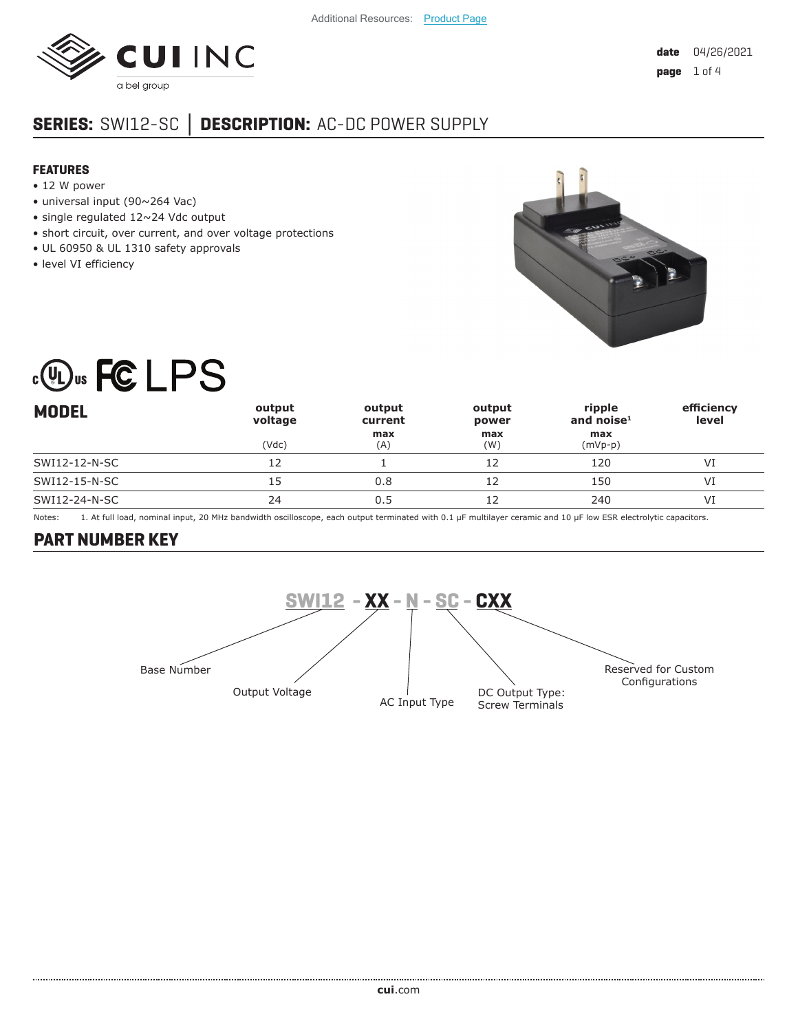

# **SERIES:** SWI12-SC **│ DESCRIPTION:** AC-DC POWER SUPPLY

#### **FEATURES**

- 12 W power
- universal input (90~264 Vac)
- single regulated 12~24 Vdc output
- short circuit, over current, and over voltage protections
- UL 60950 & UL 1310 safety approvals
- level VI efficiency



# **COUS FCLPS**

| <b>MODEL</b>  | output<br>voltage | output<br>current | output<br>power | ripple<br>and noise $1$ | efficiency<br>level |
|---------------|-------------------|-------------------|-----------------|-------------------------|---------------------|
|               | (Vdc)             | max<br>(A)        | max<br>(W)      | max<br>$(mVp-p)$        |                     |
| SWI12-12-N-SC |                   |                   |                 | 120                     | VI                  |
| SWI12-15-N-SC | 15                | 0.8               |                 | 150                     | VI                  |
| SWI12-24-N-SC | 24                | 0.5               |                 | 240                     | VI                  |

Notes: 1. At full load, nominal input, 20 MHz bandwidth oscilloscope, each output terminated with 0.1 μF multilayer ceramic and 10 μF low ESR electrolytic capacitors.

## **PART NUMBER KEY**

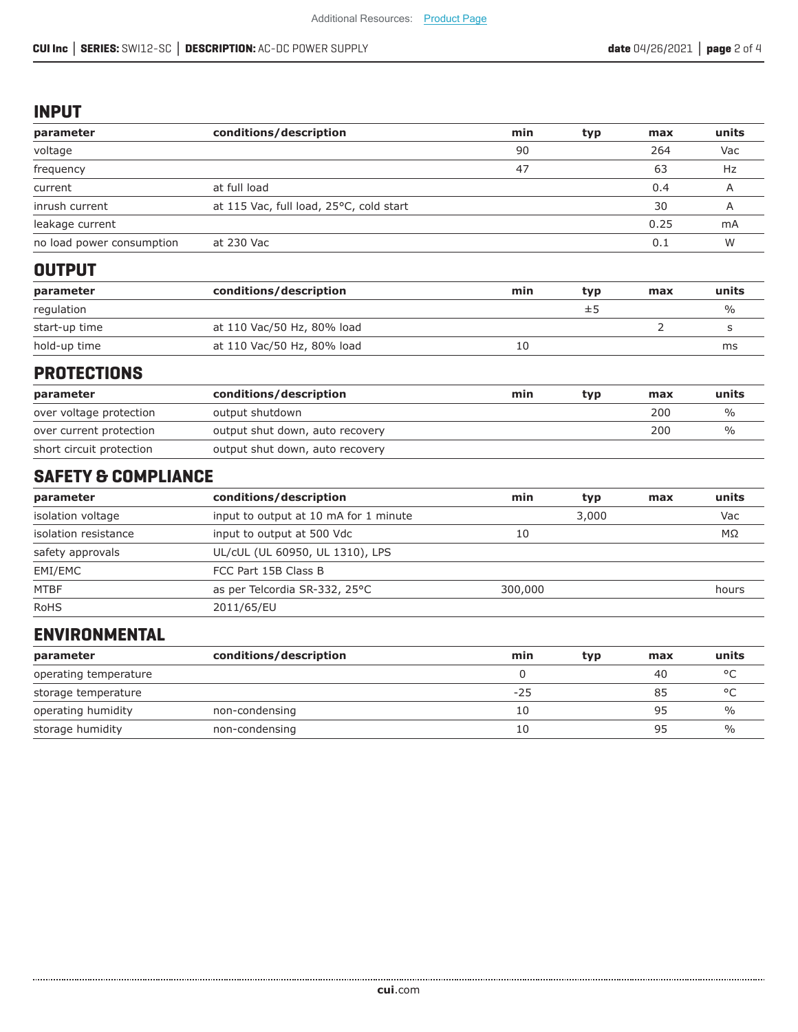#### **INPUT**

| parameter                      | conditions/description                  | min     | typ   | max  | units          |
|--------------------------------|-----------------------------------------|---------|-------|------|----------------|
| voltage                        |                                         | 90      |       | 264  | Vac            |
| frequency                      |                                         | 47      |       | 63   | Hz             |
| current                        | at full load                            |         |       | 0.4  | A              |
| inrush current                 | at 115 Vac, full load, 25°C, cold start |         |       | 30   | $\overline{A}$ |
| leakage current                |                                         |         |       | 0.25 | mA             |
| no load power consumption      | at 230 Vac                              |         |       | 0.1  | W              |
| <b>OUTPUT</b>                  |                                         |         |       |      |                |
| parameter                      | conditions/description                  | min     | typ   | max  | units          |
| regulation                     |                                         |         | ±5    |      | $\frac{0}{0}$  |
| start-up time                  | at 110 Vac/50 Hz, 80% load              |         |       | 2    | S              |
| hold-up time                   | at 110 Vac/50 Hz, 80% load              | 10      |       |      | ms             |
| <b>PROTECTIONS</b>             |                                         |         |       |      |                |
| parameter                      | conditions/description                  | min     | typ   | max  | units          |
| over voltage protection        | output shutdown                         |         |       | 200  | $\frac{0}{0}$  |
| over current protection        | output shut down, auto recovery         |         |       | 200  | $\frac{0}{0}$  |
| short circuit protection       | output shut down, auto recovery         |         |       |      |                |
| <b>SAFETY &amp; COMPLIANCE</b> |                                         |         |       |      |                |
| parameter                      | conditions/description                  | min     | typ   | max  | units          |
| isolation voltage              | input to output at 10 mA for 1 minute   |         | 3,000 |      | Vac            |
| isolation resistance           | input to output at 500 Vdc              | 10      |       |      | ΜΩ             |
| safety approvals               | UL/cUL (UL 60950, UL 1310), LPS         |         |       |      |                |
| EMI/EMC                        | FCC Part 15B Class B                    |         |       |      |                |
| <b>MTBF</b>                    | as per Telcordia SR-332, 25°C           | 300,000 |       |      | hours          |
| <b>RoHS</b>                    | 2011/65/EU                              |         |       |      |                |

### **ENVIRONMENTAL**

| parameter             | conditions/description | min   | typ | max | units         |
|-----------------------|------------------------|-------|-----|-----|---------------|
| operating temperature |                        |       |     | 40  | $\circ$       |
| storage temperature   |                        | $-25$ |     | 85  | ٥٢            |
| operating humidity    | non-condensing         | 10    |     | 95  | $\%$          |
| storage humidity      | non-condensing         | 10    |     | 95  | $\frac{0}{0}$ |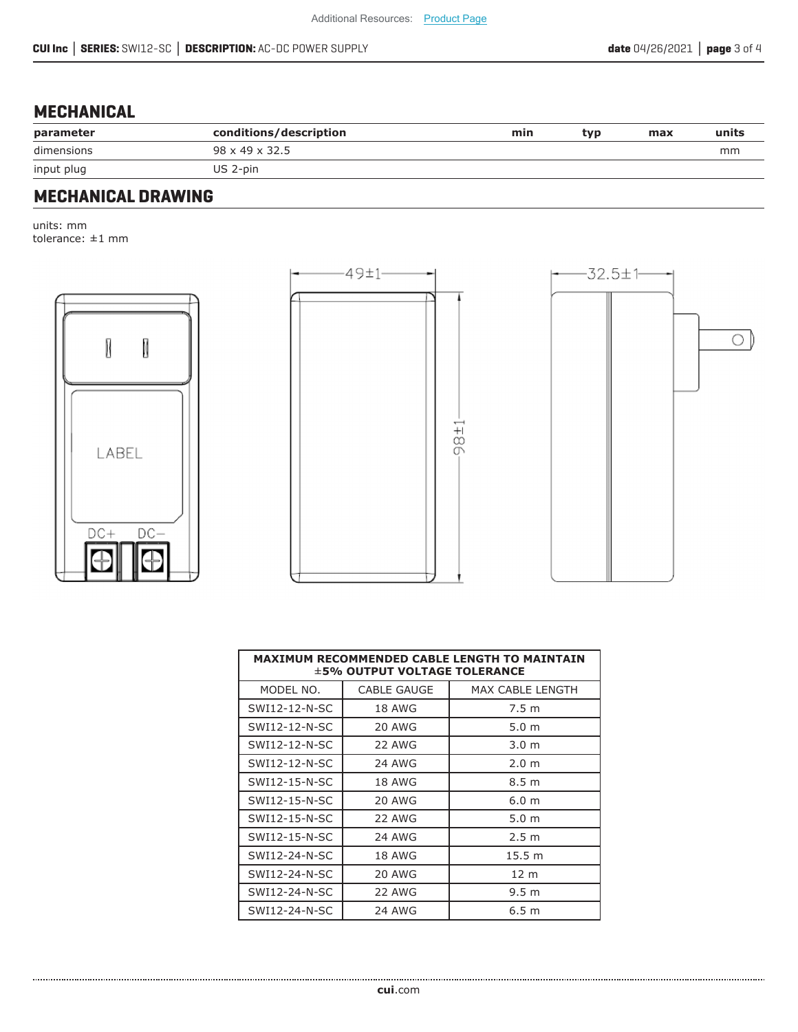# **MECHANICAL**

| parameter  | conditions/description     | min | typ | max | units |
|------------|----------------------------|-----|-----|-----|-------|
| dimensions | $98 \times 49 \times 32.5$ |     |     |     | mm    |
| input plug | US 2-pin                   |     |     |     |       |

# **MECHANICAL DRAWING**

units: mm tolerance: ±1 mm







| <b>MAXIMUM RECOMMENDED CABLE LENGTH TO MAINTAIN</b><br>$\pm$ 5% OUTPUT VOLTAGE TOLERANCE |               |                         |  |  |  |
|------------------------------------------------------------------------------------------|---------------|-------------------------|--|--|--|
| MODEL NO.                                                                                | CABLE GAUGE   | <b>MAX CABLE LENGTH</b> |  |  |  |
| SWI12-12-N-SC                                                                            | <b>18 AWG</b> | 7.5 <sub>m</sub>        |  |  |  |
| SWI12-12-N-SC                                                                            | 20 AWG        | 5.0 <sub>m</sub>        |  |  |  |
| SWI12-12-N-SC                                                                            | 22 AWG        | 3.0 <sub>m</sub>        |  |  |  |
| SWI12-12-N-SC                                                                            | 24 AWG        | 2.0 <sub>m</sub>        |  |  |  |
| SWI12-15-N-SC                                                                            | <b>18 AWG</b> | 8.5 <sub>m</sub>        |  |  |  |
| SWI12-15-N-SC                                                                            | 20 AWG        | 6.0 <sub>m</sub>        |  |  |  |
| SWI12-15-N-SC                                                                            | 22 AWG        | 5.0 <sub>m</sub>        |  |  |  |
| SWI12-15-N-SC                                                                            | 24 AWG        | 2.5 <sub>m</sub>        |  |  |  |
| SWI12-24-N-SC                                                                            | <b>18 AWG</b> | 15.5 m                  |  |  |  |
| SWI12-24-N-SC                                                                            | 20 AWG        | 12 <sub>m</sub>         |  |  |  |
| SWI12-24-N-SC                                                                            | 22 AWG        | 9.5 <sub>m</sub>        |  |  |  |
| SWI12-24-N-SC                                                                            | <b>24 AWG</b> | 6.5 <sub>m</sub>        |  |  |  |